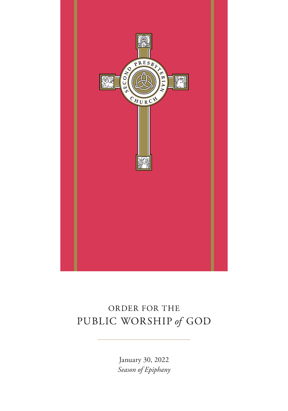

## ORDER FOR THE PUBLIC WORSHIP of GOD

January 30, 2022 *Season of Epiphany*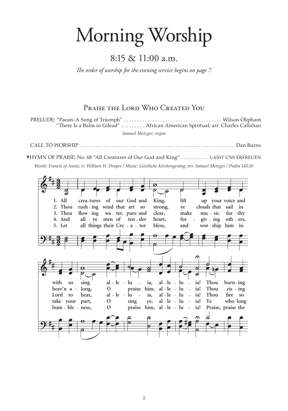# Morning Worship

## 8:15 & 11:00 a.m.

*The order of worship for the evening service begins on page 7.*

PRAISE THE LORD WHO CREATED YOU

PRELUDE: "Paean–A Song of Triumph" . . . . . . . . . . . . . . . . . . . . . . . . . . . . . . . . . . . . . . Wilson Oliphant "There Is a Balm in Gilead" . . . . . . . . . African American Spiritual; arr. Charles Callahan *Samuel Metzger, organ*

CALL TO WORSHIP . . . . . . . . . . . . . . . . . . . . . . . . . . . . . . . . . . . . . . . . . . . . . . . . . . . . . . . . . . . . Dan Burns GOD OUR FATHER

WHYMN OF PRAISE: No. 68 "All Creatures of Our God and King" . . . . . . . . . . . LASST UNS ERFREUEN

YMN OF PRAISE: No. 68 "All Creatures of Our God and King" . . . . . . . . . . . LASST UNS ERFREU<br>Words: Francis of Assisi; tr. William H. Draper / Music: Geistliche Kirchengesäng; arr. Samuel Metzger / Psalm 145:10

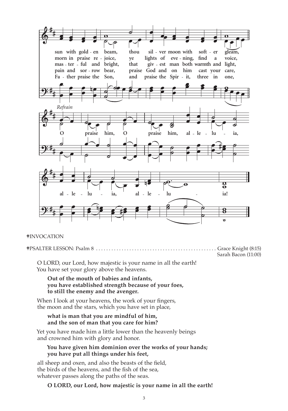

#### **\*INVOCATION**

WPSALTER LESSON: Psalm 8 . . . . . . . . . . . . . . . . . . . . . . . . . . . . . . . . . . . . . . . . . . . . . . . Grace Knight (8:15)

```
Sarah Bacon (11:00)
```
O LORD, our Lord, how majestic is your name in all the earth! You have set your glory above the heavens.

#### *<u><b>Out of the mouth of babies and infants,*</u> **you have established strength because of your foes, 2. For the beau ty of each hour of the day and of the night, for for for h h h e heart <b>n e** *e e e c c f e e e e e e e e e e e e e e e e e e e e e e e* **4. For the joy of hu man love, broth er, sis ter, par ent, child,**

When I look at your heavens, the work of your fingers, the moon and the stars, which you have set in place, **f** look at your heavens, the work of your fingers,

#### **what is man that you are mindful of him, and the son of man that you care for him?**

Yet you have made him a little lower than the heavenly beings and crowned him with glory and honor.

#### **You have given him dominion over the works of your hands; you have put all things under his feet,**

all sheep and oxen, and also the beasts of the field, **for the love which from our birth o ver and a round us lies, for the** heavens, and the fish of the sea, whatever passes along the paths of the seas. **friends on earth and friends a bove, for all gen tle thoughts and mild, h h f and** *and* **<b>a a d** *and stars* **<b>of** *c d stars* **<b>of** *s d stars* **<b>of** *stars* **<b>o** *stars* **<b>***d stars* **<b>***d stars* **<b>***d stars* **<b>***d stars* **<b>***d stars**d stars* 

O LORD, our Lord, how majestic is your name in all the earth!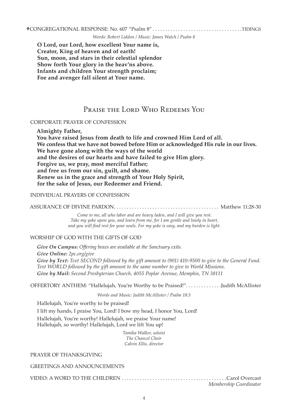#### WCONGREGATIONAL RESPONSE: No. 607 "Psalm 8" . . . . . . . . . . . . . . . . . . . . . . . . . . . . . . . . . . TIDINGS

*Words: Robert Liddon / Music: James Walch / Psalm 8*

**O Lord, our Lord, how excellent Your name is, Creator, King of heaven and of earth! Sun, moon, and stars in their celestial splendor Show forth Your glory in the heav'ns above. Infants and children Your strength proclaim; Foe and avenger fall silent at Your name.**

## Praise the Lord Who Redeems You

#### CORPORATE PRAYER OF CONFESSION

**Almighty Father, You have raised Jesus from death to life and crowned Him Lord of all. We confess that we have not bowed before Him or acknowledged His rule in our lives. We have gone along with the ways of the world and the desires of our hearts and have failed to give Him glory. Forgive us, we pray, most merciful Father; and free us from our sin, guilt, and shame. Renew us in the grace and strength of Your Holy Spirit, for the sake of Jesus, our Redeemer and Friend.**

#### INDIVIDUAL PRAYERS OF CONFESSION

ASSURANCE OF DIVINE PARDON . . . . . . . . . . . . . . . . . . . . . . . . . . . . . . . . . . . . . . . . . Matthew 11:28-30

*Come to me, all who labor and are heavy laden, and I will give you rest. Take my yoke upon you, and learn from me, for I am gentle and lowly in heart, and you will find rest for your souls. For my yoke is easy, and my burden is light.*

#### WORSHIP OF GOD WITH THE GIFTS OF GOD

*Give On Campus: Offering boxes are available at the Sanctuary exits. Give Online: 2pc.org/give Give by Text: Text SECOND followed by the gift amount to (901) 410-9500 to give to the General Fund. Text WORLD followed by the gift amount to the same number to give to World Missions. Give by Mail: Second Presbyterian Church, 4055 Poplar Avenue, Memphis, TN 38111*

OFFERTORY ANTHEM: "Hallelujah, You're Worthy to be Praised!"..............Judith McAllister

*Words and Music: Judith McAllister / Psalm 18:3*

Hallelujah, You're worthy to be praised! I lift my hands, I praise You, Lord! I bow my head, I honor You, Lord! Hallelujah, You're worthy! Hallelujah, we praise Your name!

Hallelujah, so worthy! Hallelujah, Lord we lift You up!

*Tamika Walker, soloist The Chancel Choir Calvin Ellis, director*

PRAYER OF THANKSGIVING

GREETINGS AND ANNOUNCEMENTS

VIDEO: A WORD TO THE CHILDREN . . . . . . . . . . . . . . . . . . . . . . . . . . . . . . . . . . . . . . . . Carol Overcast *Membership Coordinator*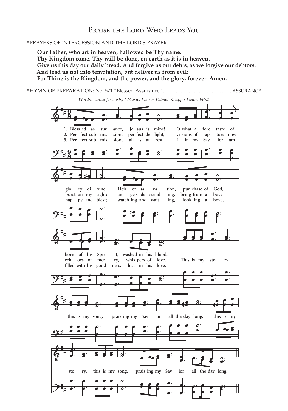## PRAISE THE LORD WHO LEADS YOU

#### WPRAYERS OF INTERCESSION AND THE LORD'S PRAYER

Our Father, who art in heaven, hallowed be Thy name. **Thy Kingdom come, Thy will be done, on earth as it is in heaven.** First Kingdom come, First with be done, on earth as it is in heaven.<br>Give us this day our daily bread. And forgive us our debts, as we forgive our debtors. And lead us not into temptation, but deliver us from evil:<br>For Thine is the Kingdom, and the power, and the glory, For Thine is the Kingdom, and the power, and the glory, forever. Amen.<br>DOI OF PRENEURAL ASSAULTS (FOR THE UP )

WHYMN OF PREPARATION: No. 571 "Blessed Assurance" . . . . . . . . . . . . . . . . . . . . . . . . . . ASSURANCE 571 Blessed Assurance

Words: Fanny J. Crosby / Music: Phoebe Palmer Knapp / Psalm 146:2

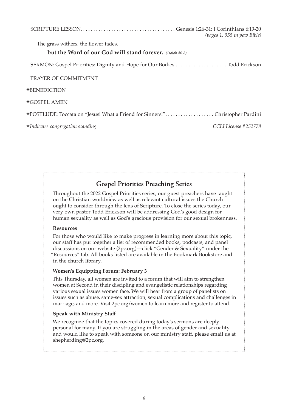|                                                                                                   | (pages 1, 955 in pew Bible) |
|---------------------------------------------------------------------------------------------------|-----------------------------|
| The grass withers, the flower fades,<br>but the Word of our God will stand forever. (Isaiah 40:8) |                             |
|                                                                                                   |                             |
| PRAYER OF COMMITMENT                                                                              |                             |
| <b><i>†BENEDICTION</i></b>                                                                        |                             |
| <b>*GOSPEL AMEN</b>                                                                               |                             |
| POSTLUDE: Toccata on "Jesus! What a Friend for Sinners!"Christopher Pardini                       |                             |
| †Indicates congregation standing                                                                  | CCLI License #252778        |

## **Gospel Priorities Preaching Series**

Throughout the 2022 Gospel Priorities series, our guest preachers have taught on the Christian worldview as well as relevant cultural issues the Church ought to consider through the lens of Scripture. To close the series today, our very own pastor Todd Erickson will be addressing God's good design for human sexuality as well as God's gracious provision for our sexual brokenness.

#### **Resources**

For those who would like to make progress in learning more about this topic, our staff has put together a list of recommended books, podcasts, and panel discussions on our website (2pc.org)—click "Gender & Sexuality" under the "Resources" tab. All books listed are available in the Bookmark Bookstore and in the church library.

#### **Women's Equipping Forum: February 3**

This Thursday, all women are invited to a forum that will aim to strengthen women at Second in their discipling and evangelistic relationships regarding various sexual issues women face. We will hear from a group of panelists on issues such as abuse, same-sex attraction, sexual complications and challenges in marriage, and more. Visit 2pc.org/women to learn more and register to attend.

#### **Speak with Ministry Staff**

We recognize that the topics covered during today's sermons are deeply personal for many. If you are struggling in the areas of gender and sexuality and would like to speak with someone on our ministry staff, please email us at shepherding@2pc.org.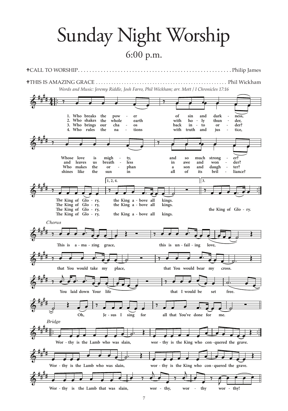## Sunday Night Worship 6:00 p.m.

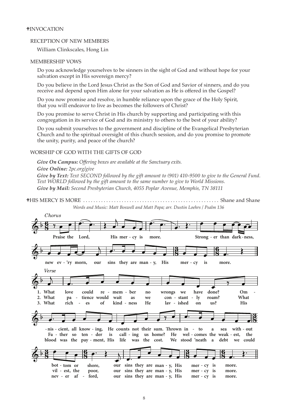#### WINVOCATION

#### RECEPTION OF NEW MEMBERS

William Clinkscales, Hong Lin

#### MEMBERSHIP VOWS

Do you acknowledge yourselves to be sinners in the sight of God and without hope for your salvation except in His sovereign mercy?

Do you believe in the Lord Jesus Christ as the Son of God and Savior of sinners, and do you receive and depend upon Him alone for your salvation as He is offered in the Gospel?

Do you now promise and resolve, in humble reliance upon the grace of the Holy Spirit, that you will endeavor to live as becomes the followers of Christ?

Do you promise to serve Christ in His church by supporting and participating with this congregation in its service of God and its ministry to others to the best of your ability?

Do you submit yourselves to the government and discipline of the Evangelical Presbyterian Church and to the spiritual oversight of this church session, and do you promise to promote the unity, purity, and peace of the church?

#### WORSHIP OF GOD WITH THE GIFTS OF GOD

*Give On Campus: Offering boxes are available at the Sanctuary exits. Give Online: 2pc.org/give Give by Text: Text SECOND followed by the gift amount to (901) 410-9500 to give to the General Fund. Text WORLD followed by the gift amount to the same number to give to World Missions. Give by Mail: Second Presbyterian Church, 4055 Poplar Avenue, Memphis, TN 38111*

WHIS MERCY IS MORE . . . . . . . . . . . . . . . . . . . . . . . . . . . . . . . . . . . . . . . . . . . . . . . . . . . . . Shane and Shane *Words and Music: Matt Boswell and Matt Papa; arr. Dustin Loehrs / Psalm 136*

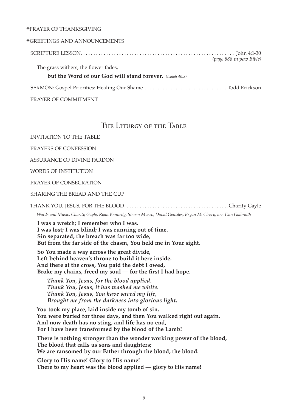#### *\*PRAYER OF THANKSGIVING*

## **\*GREETINGS AND ANNOUNCEMENTS** SCRIPTURE LESSON............................................................ John 4:1-30 *(page 888 in pew Bible)* The grass withers, the flower fades, **but the Word of our God will stand forever.** *(Isaiah 40:8)* SERMON: Gospel Priorities: Healing Our Shame . . . . . . . . . . . . . . . . . . . . . . . . . . . . . . . . Todd Erickson

PRAYER OF COMMITMENT

## The Liturgy of the Table

INVITATION TO THE TABLE PRAYERS OF CONFESSION ASSURANCE OF DIVINE PARDON WORDS OF INSTITUTION PRAYER OF CONSECRATION SHARING THE BREAD AND THE CUP THANK YOU, JESUS, FOR THE BLOOD . . . . . . . . . . . . . . . . . . . . . . . . . . . . . . . . . . . . . . . . Charity Gayle *Words and Music: Charity Gayle, Ryan Kennedy, Steven Musso, David Gentiles, Bryan McCleery; arr. Dan Galbraith* **I was a wretch; I remember who I was. I was lost; I was blind; I was running out of time. Sin separated, the breach was far too wide, But from the far side of the chasm, You held me in Your sight. So You made a way across the great divide, Left behind heaven's throne to build it here inside. And there at the cross, You paid the debt I owed, Broke my chains, freed my soul — for the first I had hope.** *Thank You, Jesus, for the blood applied. Thank You, Jesus, it has washed me white. Thank You, Jesus, You have saved my life, Brought me from the darkness into glorious light.* **You took my place, laid inside my tomb of sin. You were buried for three days, and then You walked right out again. And now death has no sting, and life has no end, For I have been transformed by the blood of the Lamb! There is nothing stronger than the wonder working power of the blood, The blood that calls us sons and daughters; We are ransomed by our Father through the blood, the blood. Glory to His name! Glory to His name! There to my heart was the blood applied — glory to His name!**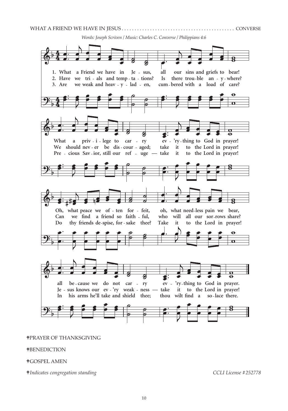*Words: Joseph Scriven / Music: Charles C. Converse / Philippians 4:6*



## **\*PRAYER OF THANKSGIVING**

#### **\*BENEDICTION** WORDS: Joseph Scriven, 1855 CONVERSE MUSIC: Charles C. Converse, 1868 8.7.8.7.D

#### WGOSPEL AMEN

W*Indicates congregation standing CCLI License #252778*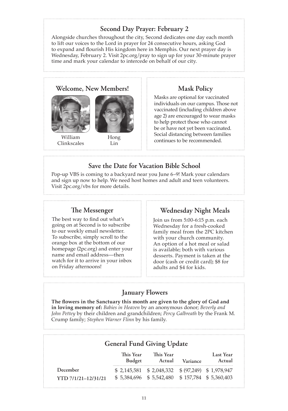## **Second Day Prayer: February 2**

Alongside churches throughout the city, Second dedicates one day each month to lift our voices to the Lord in prayer for 24 consecutive hours, asking God to expand and flourish His kingdom here in Memphis. Our next prayer day is Wednesday, February 2. Visit 2pc.org/pray to sign up for your 30-minute prayer time and mark your calendar to intercede on behalf of our city.



#### **Save the Date for Vacation Bible School**

Pop-up VBS is coming to a backyard near you June 6–9! Mark your calendars and sign up now to help. We need host homes and adult and teen volunteers. Visit 2pc.org/vbs for more details.

#### **The Messenger**

The best way to find out what's going on at Second is to subscribe to our weekly email newsletter. To subscribe, simply scroll to the orange box at the bottom of our homepage (2pc.org) and enter your name and email address—then watch for it to arrive in your inbox on Friday afternoons!

#### **Wednesday Night Meals**

Join us from 5:00-6:15 p.m. each Wednesday for a fresh-cooked family meal from the 2PC kitchen with your church community. An option of a hot meal or salad is available; both with various desserts. Payment is taken at the door (cash or credit card); \$8 for adults and \$4 for kids.

#### **January Flowers**

**The flowers in the Sanctuary this month are given to the glory of God and in loving memory of:** *Babies in Heaven* by an anonymous donor; *Beverly and John Pettey* by their children and grandchildren; *Percy Galbreath* by the Frank M. Crump family; *Stephen Warner Flinn* by his family.

| <b>General Fund Giving Update</b> |                     |                                                   |          |                     |
|-----------------------------------|---------------------|---------------------------------------------------|----------|---------------------|
|                                   | This Year<br>Budget | This Year<br>Actual                               | Variance | Last Year<br>Actual |
| December                          |                     | $$2,145,581$ $$2,048,332$ $$97,249$ $$1,978,947$  |          |                     |
| YTD 7/1/21-12/31/21               |                     | $$5,384,696$ $$5,542,480$ $$157,784$ $$5,360,403$ |          |                     |